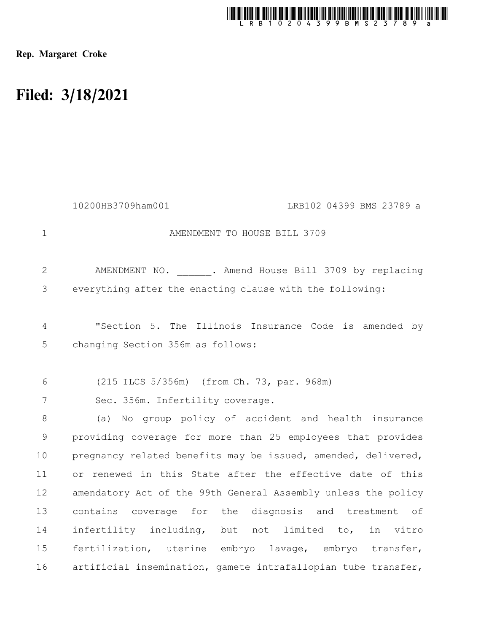

Rep. Margaret Croke

## Filed: 3/18/2021

|                | 10200HB3709ham001<br>LRB102 04399 BMS 23789 a                 |
|----------------|---------------------------------------------------------------|
| $\mathbf 1$    | AMENDMENT TO HOUSE BILL 3709                                  |
| $\overline{2}$ | AMENDMENT NO. . Amend House Bill 3709 by replacing            |
| 3              | everything after the enacting clause with the following:      |
| 4              | "Section 5. The Illinois Insurance Code is amended by         |
| 5              | changing Section 356m as follows:                             |
|                |                                                               |
| 6              | (215 ILCS 5/356m) (from Ch. 73, par. 968m)                    |
| 7              | Sec. 356m. Infertility coverage.                              |
| 8              | No group policy of accident and health insurance<br>(a)       |
| 9              | providing coverage for more than 25 employees that provides   |
| 10             | pregnancy related benefits may be issued, amended, delivered, |
| 11             | or renewed in this State after the effective date of this     |
| 12             | amendatory Act of the 99th General Assembly unless the policy |
| 13             | contains coverage for the diagnosis and treatment of          |
| 14             | infertility including, but not limited to,<br>in vitro        |
| 15             | fertilization, uterine embryo lavage, embryo transfer,        |
| 16             | artificial insemination, gamete intrafallopian tube transfer, |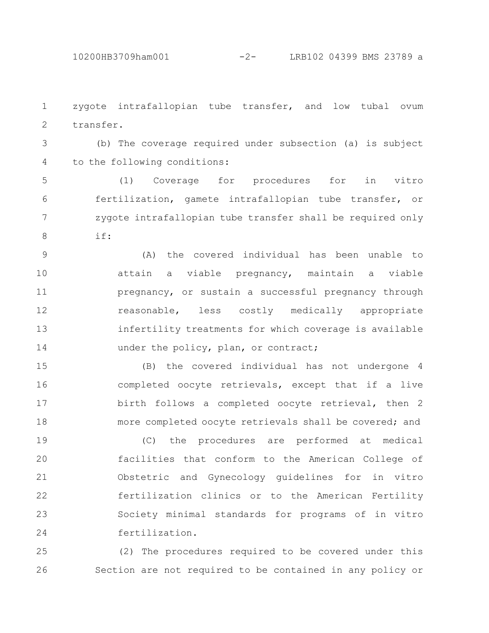zygote intrafallopian tube transfer, and low tubal ovum transfer. 1 2

(b) The coverage required under subsection (a) is subject to the following conditions: 3 4

(1) Coverage for procedures for in vitro fertilization, gamete intrafallopian tube transfer, or zygote intrafallopian tube transfer shall be required only if: 5 6 7 8

(A) the covered individual has been unable to attain a viable pregnancy, maintain a viable pregnancy, or sustain a successful pregnancy through reasonable, less costly medically appropriate infertility treatments for which coverage is available under the policy, plan, or contract; 9 10 11 12 13 14

(B) the covered individual has not undergone 4 completed oocyte retrievals, except that if a live birth follows a completed oocyte retrieval, then 2 more completed oocyte retrievals shall be covered; and 15 16 17 18

(C) the procedures are performed at medical facilities that conform to the American College of Obstetric and Gynecology guidelines for in vitro fertilization clinics or to the American Fertility Society minimal standards for programs of in vitro fertilization. 19 20 21 22 23 24

(2) The procedures required to be covered under this Section are not required to be contained in any policy or 25 26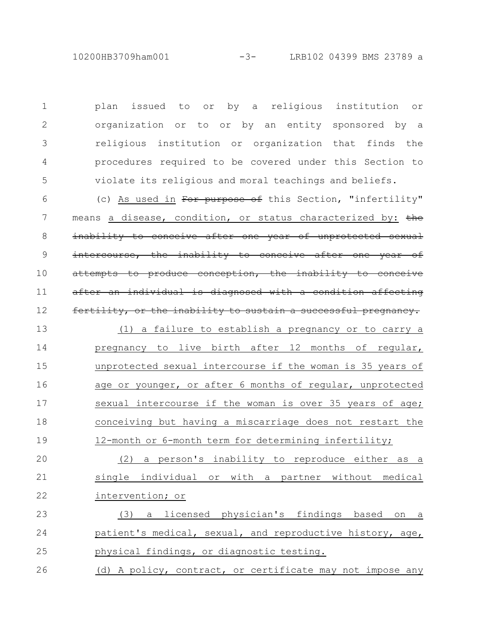10200HB3709ham001 -3- LRB102 04399 BMS 23789 a

plan issued to or by a religious institution or organization or to or by an entity sponsored by a religious institution or organization that finds the procedures required to be covered under this Section to violate its religious and moral teachings and beliefs. 1 2 3 4 5

(c) As used in For purpose of this Section, "infertility" means a disease, condition, or status characterized by: the inability to conceive after one year of unprotected sexual intercourse, the inability to conceive after one year of attempts to produce conception, the inability to conceive ter an individual is diagnosed with a condition affecting fertility, or the inability to sustain a successful pregnancy. (1) a failure to establish a pregnancy or to carry a pregnancy to live birth after 12 months of regular, unprotected sexual intercourse if the woman is 35 years of age or younger, or after 6 months of regular, unprotected sexual intercourse if the woman is over 35 years of age; conceiving but having a miscarriage does not restart the 12-month or 6-month term for determining infertility; 6 7 8 9 10 11 12 13 14 15 16 17 18 19

(2) a person's inability to reproduce either as a single individual or with a partner without medical intervention; or 20 21 22

(3) a licensed physician's findings based on a patient's medical, sexual, and reproductive history, age, physical findings, or diagnostic testing. 23 24 25

(d) A policy, contract, or certificate may not impose any 26